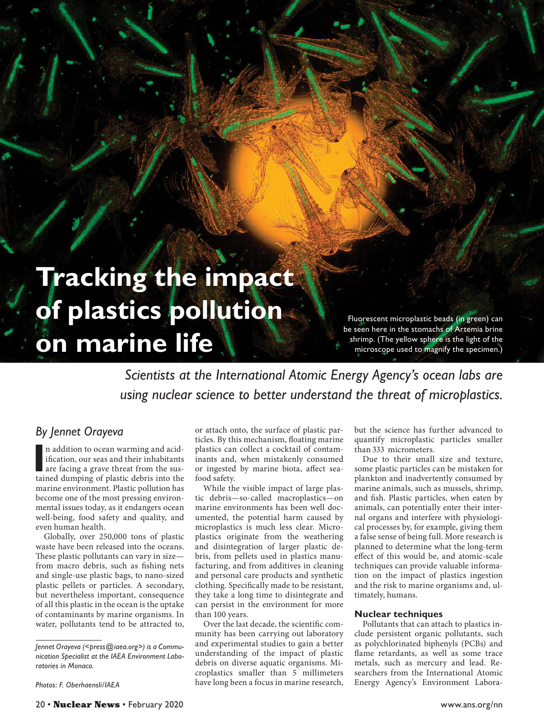# **Tracking the impact of plastics pollution on marine life**

Fluorescent microplastic beads (in green) can be seen here in the stomachs of Artemia brine shrimp. (The yellow sphere is the light of the microscope used to magnify the specimen.)

*Scientists at the International Atomic Energy Agency's ocean labs are using nuclear science to better understand the threat of microplastics.*

# *By Jennet Orayeva*

In addition to ocean warming and acidification, our seas and their inhabitants are facing a grave threat from the sustained dumping of plastic debris into the n addition to ocean warming and acidification, our seas and their inhabitants are facing a grave threat from the susmarine environment. Plastic pollution has become one of the most pressing environmental issues today, as it endangers ocean well-being, food safety and quality, and even human health.

Globally, over 250,000 tons of plastic waste have been released into the oceans. These plastic pollutants can vary in size from macro debris, such as fishing nets and single-use plastic bags, to nano-sized plastic pellets or particles. A secondary, but nevertheless important, consequence of all this plastic in the ocean is the uptake of contaminants by marine organisms. In water, pollutants tend to be attracted to,

*Photos: F. Oberhaensli/IAEA*

or attach onto, the surface of plastic particles. By this mechanism, floating marine plastics can collect a cocktail of contaminants and, when mistakenly consumed or ingested by marine biota, affect seafood safety.

While the visible impact of large plastic debris—so-called macroplastics—on marine environments has been well documented, the potential harm caused by microplastics is much less clear. Microplastics originate from the weathering and disintegration of larger plastic debris, from pellets used in plastics manufacturing, and from additives in cleaning and personal care products and synthetic clothing. Specifically made to be resistant, they take a long time to disintegrate and can persist in the environment for more than 100 years.

Over the last decade, the scientific community has been carrying out laboratory and experimental studies to gain a better understanding of the impact of plastic debris on diverse aquatic organisms. Microplastics smaller than 5 millimeters have long been a focus in marine research, but the science has further advanced to quantify microplastic particles smaller than 333 micrometers.

Due to their small size and texture, some plastic particles can be mistaken for plankton and inadvertently consumed by marine animals, such as mussels, shrimp, and fish. Plastic particles, when eaten by animals, can potentially enter their internal organs and interfere with physiological processes by, for example, giving them a false sense of being full. More research is planned to determine what the long-term effect of this would be, and atomic-scale techniques can provide valuable information on the impact of plastics ingestion and the risk to marine organisms and, ultimately, humans.

# **Nuclear techniques**

Pollutants that can attach to plastics include persistent organic pollutants, such as polychlorinated biphenyls (PCBs) and flame retardants, as well as some trace metals, such as mercury and lead. Researchers from the International Atomic Energy Agency's Environment Labora-

*Jennet Orayeva (<[press@iaea.org>](mailto:press@iaea.org)) is a Communication Specialist at the IAEA Environment Laboratories in Monaco.*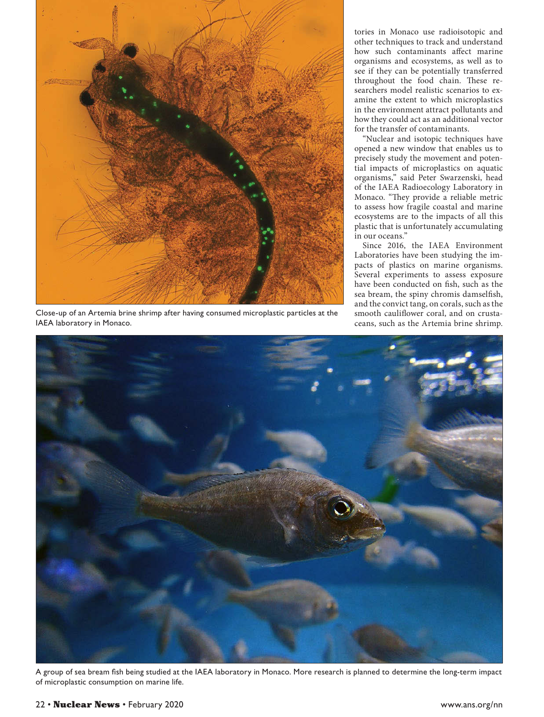

Close-up of an Artemia brine shrimp after having consumed microplastic particles at the IAEA laboratory in Monaco.

tories in Monaco use radioisotopic and other techniques to track and understand how such contaminants affect marine organisms and ecosystems, as well as to see if they can be potentially transferred throughout the food chain. These researchers model realistic scenarios to examine the extent to which microplastics in the environment attract pollutants and how they could act as an additional vector for the transfer of contaminants.

"Nuclear and isotopic techniques have opened a new window that enables us to precisely study the movement and potential impacts of microplastics on aquatic organisms," said Peter Swarzenski, head of the IAEA Radioecology Laboratory in Monaco. "They provide a reliable metric to assess how fragile coastal and marine ecosystems are to the impacts of all this plastic that is unfortunately accumulating in our oceans."

Since 2016, the IAEA Environment Laboratories have been studying the impacts of plastics on marine organisms. Several experiments to assess exposure have been conducted on fish, such as the sea bream, the spiny chromis damselfish, and the convict tang, on corals, such as the smooth cauliflower coral, and on crustaceans, such as the Artemia brine shrimp.



A group of sea bream fish being studied at the IAEA laboratory in Monaco. More research is planned to determine the long-term impact of microplastic consumption on marine life.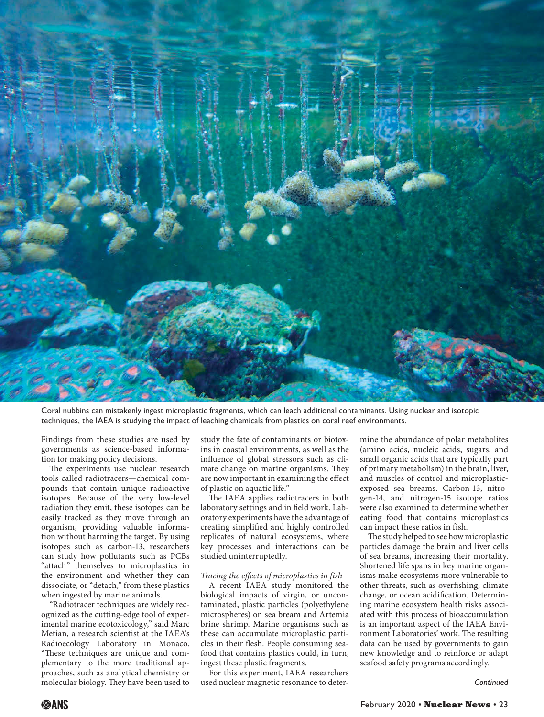

Coral nubbins can mistakenly ingest microplastic fragments, which can leach additional contaminants. Using nuclear and isotopic techniques, the IAEA is studying the impact of leaching chemicals from plastics on coral reef environments.

Findings from these studies are used by governments as science-based information for making policy decisions.

The experiments use nuclear research tools called radiotracers—chemical compounds that contain unique radioactive isotopes. Because of the very low-level radiation they emit, these isotopes can be easily tracked as they move through an organism, providing valuable information without harming the target. By using isotopes such as carbon-13, researchers can study how pollutants such as PCBs "attach" themselves to microplastics in the environment and whether they can dissociate, or "detach," from these plastics when ingested by marine animals.

"Radiotracer techniques are widely recognized as the cutting-edge tool of experimental marine ecotoxicology," said Marc Metian, a research scientist at the IAEA's Radioecology Laboratory in Monaco. "These techniques are unique and complementary to the more traditional approaches, such as analytical chemistry or molecular biology. They have been used to

study the fate of contaminants or biotoxins in coastal environments, as well as the influence of global stressors such as climate change on marine organisms. They are now important in examining the effect of plastic on aquatic life."

The IAEA applies radiotracers in both laboratory settings and in field work. Laboratory experiments have the advantage of creating simplified and highly controlled replicates of natural ecosystems, where key processes and interactions can be studied uninterruptedly.

#### *Tracing the effects of microplastics in fish*

A recent IAEA study monitored the biological impacts of virgin, or uncontaminated, plastic particles (polyethylene microspheres) on sea bream and Artemia brine shrimp. Marine organisms such as these can accumulate microplastic particles in their flesh. People consuming seafood that contains plastics could, in turn, ingest these plastic fragments.

For this experiment, IAEA researchers used nuclear magnetic resonance to deter-

mine the abundance of polar metabolites (amino acids, nucleic acids, sugars, and small organic acids that are typically part of primary metabolism) in the brain, liver, and muscles of control and microplasticexposed sea breams. Carbon-13, nitrogen-14, and nitrogen-15 isotope ratios were also examined to determine whether eating food that contains microplastics can impact these ratios in fish.

The study helped to see how microplastic particles damage the brain and liver cells of sea breams, increasing their mortality. Shortened life spans in key marine organisms make ecosystems more vulnerable to other threats, such as overfishing, climate change, or ocean acidification. Determining marine ecosystem health risks associated with this process of bioaccumulation is an important aspect of the IAEA Environment Laboratories' work. The resulting data can be used by governments to gain new knowledge and to reinforce or adapt seafood safety programs accordingly.